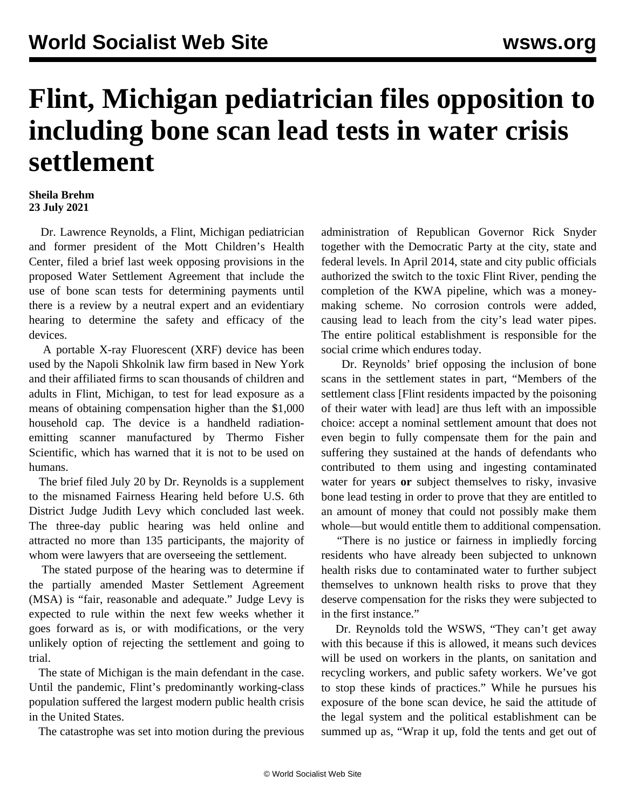## **Flint, Michigan pediatrician files opposition to including bone scan lead tests in water crisis settlement**

## **Sheila Brehm 23 July 2021**

 Dr. Lawrence Reynolds, a Flint, Michigan pediatrician and former president of the Mott Children's Health Center, filed a brief last week opposing provisions in the proposed Water Settlement Agreement that include the use of bone scan tests for determining payments until there is a review by a neutral expert and an evidentiary hearing to determine the safety and efficacy of the devices.

 A portable X-ray Fluorescent (XRF) device has been used by the Napoli Shkolnik law firm based in New York and their affiliated firms to scan thousands of children and adults in Flint, Michigan, to test for lead exposure as a means of obtaining compensation higher than the \$1,000 household cap. The device is a handheld radiationemitting scanner manufactured by Thermo Fisher Scientific, which has warned that it is not to be used on humans.

 The brief filed July 20 by Dr. Reynolds is a supplement to the misnamed Fairness Hearing held before U.S. 6th District Judge Judith Levy which concluded last week. The three-day public hearing was held online and attracted no more than 135 participants, the majority of whom were lawyers that are overseeing the settlement.

 The stated purpose of the hearing was to determine if the partially amended Master Settlement Agreement (MSA) is "fair, reasonable and adequate." Judge Levy is expected to rule within the next few weeks whether it goes forward as is, or with modifications, or the very unlikely option of rejecting the settlement and going to trial.

 The state of Michigan is the main defendant in the case. Until the pandemic, Flint's predominantly working-class population suffered the largest modern public health crisis in the United States.

The catastrophe was set into motion during the previous

administration of Republican Governor Rick Snyder together with the Democratic Party at the city, state and federal levels. In April 2014, state and city public officials authorized the switch to the toxic Flint River, pending the completion of the KWA pipeline, which was a moneymaking scheme. No corrosion controls were added, causing lead to leach from the city's lead water pipes. The entire political establishment is responsible for the social crime which endures today.

 Dr. Reynolds' brief opposing the inclusion of bone scans in the settlement states in part, "Members of the settlement class [Flint residents impacted by the poisoning of their water with lead] are thus left with an impossible choice: accept a nominal settlement amount that does not even begin to fully compensate them for the pain and suffering they sustained at the hands of defendants who contributed to them using and ingesting contaminated water for years **or** subject themselves to risky, invasive bone lead testing in order to prove that they are entitled to an amount of money that could not possibly make them whole—but would entitle them to additional compensation.

 "There is no justice or fairness in impliedly forcing residents who have already been subjected to unknown health risks due to contaminated water to further subject themselves to unknown health risks to prove that they deserve compensation for the risks they were subjected to in the first instance."

 Dr. Reynolds told the WSWS, "They can't get away with this because if this is allowed, it means such devices will be used on workers in the plants, on sanitation and recycling workers, and public safety workers. We've got to stop these kinds of practices." While he pursues his exposure of the bone scan device, he said the attitude of the legal system and the political establishment can be summed up as, "Wrap it up, fold the tents and get out of